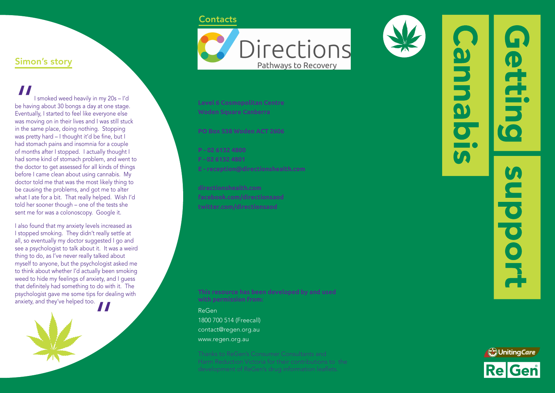### **Contacts**





### Simon's story

 $\begin{array}{c}\n\blacksquare \\
\blacksquare \\
\blacksquare \\
\blacksquare\n\end{array}$ be havir<br>
Eventua<br>
was mov I smoked weed heavily in my 20s – I'd be having about 30 bongs a day at one stage. Eventually, I started to feel like everyone else was moving on in their lives and I was still stuck in the same place, doing nothing. Stopping was pretty hard – I thought it'd be fine, but I had stomach pains and insomnia for a couple of months after I stopped. I actually thought I had some kind of stomach problem, and went to the doctor to get assessed for all kinds of things before I came clean about using cannabis. My doctor told me that was the most likely thing to be causing the problems, and got me to alter what I ate for a bit. That really helped. Wish I'd told her sooner though – one of the tests she sent me for was a colonoscopy. Google it.

I also found that my anxiety levels increased as I stopped smoking. They didn't really settle at all, so eventually my doctor suggested I go and see a psychologist to talk about it. It was a weird thing to do, as I've never really talked about myself to anyone, but the psychologist asked me to think about whether I'd actually been smoking weed to hide my feelings of anxiety, and I guess that definitely had something to do with it. The psychologist gave me some tips for dealing with anxiety, and they've helped too.



**Level 6 Cosmopolitan Centre Woden Square Canberra**

**PO Box 538 Woden ACT 2606**

**P - 02 6132 4800 F - 02 6132 4801 E - reception@directionshealth.com**

**facebook.com/directionsaod twitter.com/directionsaod**

**This resource has been developed by and used with permission from:**

ReGen 1800 700 514 (Freecall) contact@regen.org.au www.regen.org.au

**BNN6** 

 $\overline{\textbf{C}}$ 

 $\overline{a}$